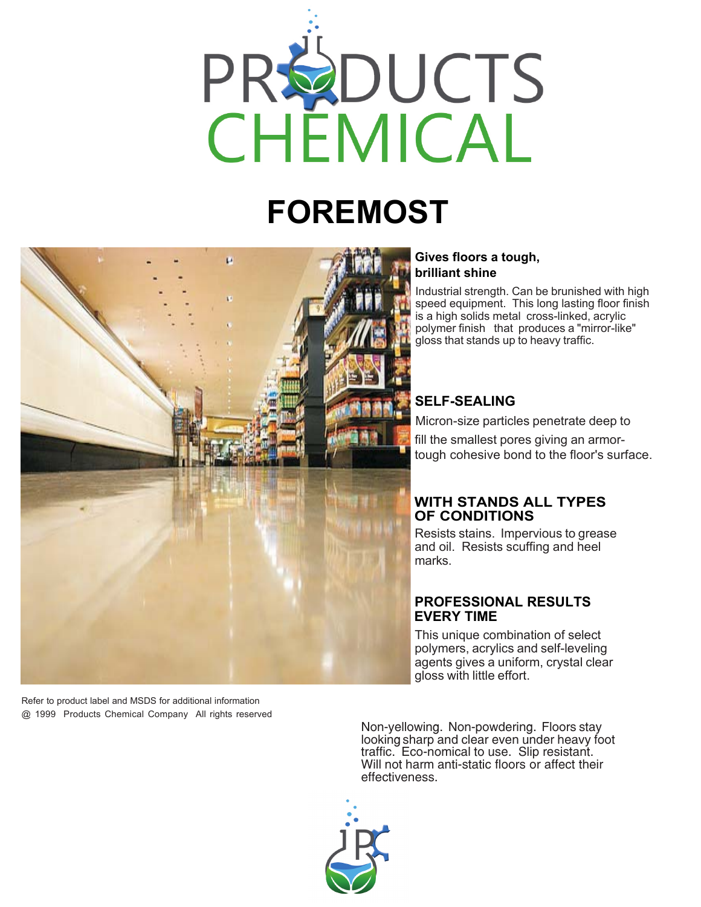

# **FOREMOST**



Refer to product label and MSDS for additional information @ 1999 Products Chemical Company All rights reserved

#### **Gives floors a tough, brilliant shine**

Industrial strength. Can be brunished with high speed equipment. This long lasting floor finish is a high solids metal cross-linked, acrylic polymer finish that produces a "mirror-like" gloss that stands up to heavy traffic.

## **SELF-SEALING**

Micron-size particles penetrate deep to fill the smallest pores giving an armortough cohesive bond to the floor's surface.

#### **WITH STANDS ALL TYPES OF CONDITIONS**

Resists stains. Impervious to grease and oil. Resists scuffing and heel marks.

#### **PROFESSIONAL RESULTS EVERY TIME**

This unique combination of select polymers, acrylics and self-leveling agents gives a uniform, crystal clear gloss with little effort.

Non-yellowing. Non-powdering. Floors stay looking sharp and clear even under heavy foot traffic. Eco-nomical to use. Slip resistant. Will not harm anti-static floors or affect their effectiveness.